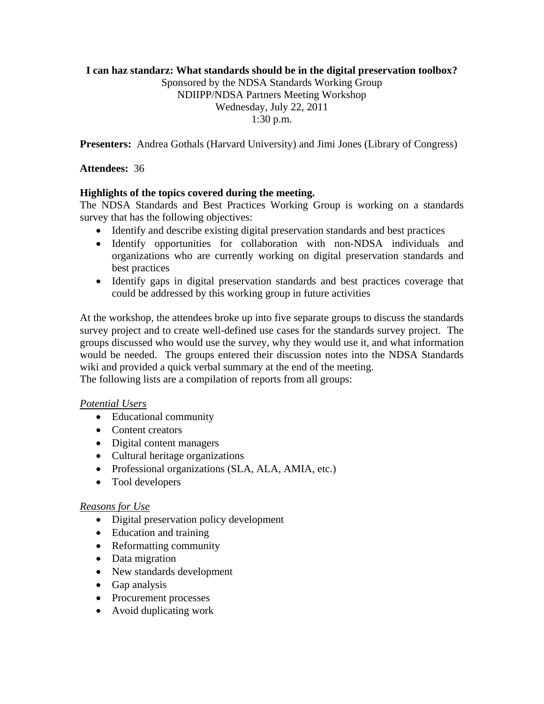## **I can haz standarz: What standards should be in the digital preservation toolbox?**

Sponsored by the NDSA Standards Working Group NDIIPP/NDSA Partners Meeting Workshop Wednesday, July 22, 2011 1:30 p.m.

**Presenters:** Andrea Gothals (Harvard University) and Jimi Jones (Library of Congress)

**Attendees:** 36

## **Highlights of the topics covered during the meeting.**

The NDSA Standards and Best Practices Working Group is working on a standards survey that has the following objectives:

- Identify and describe existing digital preservation standards and best practices
- Identify opportunities for collaboration with non-NDSA individuals and organizations who are currently working on digital preservation standards and best practices
- Identify gaps in digital preservation standards and best practices coverage that could be addressed by this working group in future activities

At the workshop, the attendees broke up into five separate groups to discuss the standards survey project and to create well-defined use cases for the standards survey project. The groups discussed who would use the survey, why they would use it, and what information would be needed. The groups entered their discussion notes into the NDSA Standards wiki and provided a quick verbal summary at the end of the meeting. The following lists are a compilation of reports from all groups:

# *Potential Users*

- Educational community
- Content creators
- Digital content managers
- Cultural heritage organizations
- Professional organizations (SLA, ALA, AMIA, etc.)
- Tool developers

### *Reasons for Use*

- Digital preservation policy development
- Education and training
- Reformatting community
- Data migration
- New standards development
- Gap analysis
- Procurement processes
- Avoid duplicating work